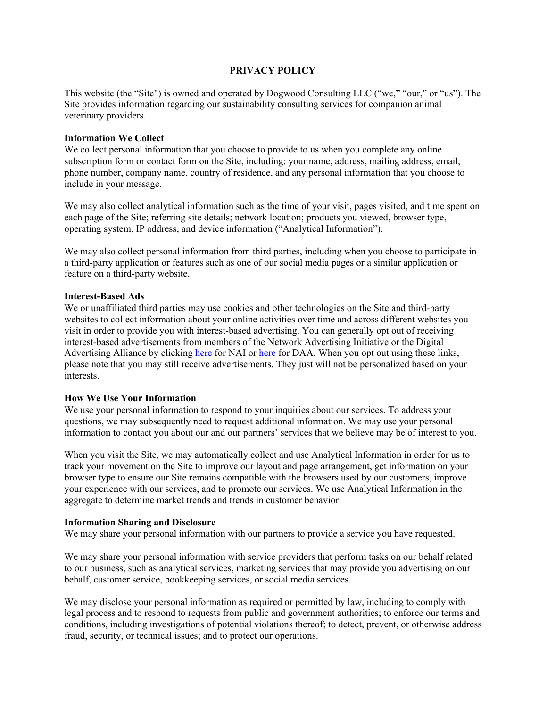## **PRIVACY POLICY**

This website (the "Site") is owned and operated by Dogwood Consulting LLC ("we," "our," or "us"). The Site provides information regarding our sustainability consulting services for companion animal veterinary providers.

#### **Information We Collect**

We collect personal information that you choose to provide to us when you complete any online subscription form or contact form on the Site, including: your name, address, mailing address, email, phone number, company name, country of residence, and any personal information that you choose to include in your message.

We may also collect analytical information such as the time of your visit, pages visited, and time spent on each page of the Site; referring site details; network location; products you viewed, browser type, operating system, IP address, and device information ("Analytical Information").

We may also collect personal information from third parties, including when you choose to participate in a third-party application or features such as one of our social media pages or a similar application or feature on a third-party website.

#### **Interest-Based Ads**

We or unaffiliated third parties may use cookies and other technologies on the Site and third-party websites to collect information about your online activities over time and across different websites you visit in order to provide you with interest-based advertising. You can generally opt out of receiving interest-based advertisements from members of the Network Advertising Initiative or the Digital Advertising Alliance by clicking [here](http://www.aboutads.info/choices/) for NAI or here for DAA. When you opt out using these links, please note that you may still receive advertisements. They just will not be personalized based on your interests.

#### **How We Use Your Information**

We use your personal information to respond to your inquiries about our services. To address your questions, we may subsequently need to request additional information. We may use your personal information to contact you about our and our partners' services that we believe may be of interest to you.

When you visit the Site, we may automatically collect and use Analytical Information in order for us to track your movement on the Site to improve our layout and page arrangement, get information on your browser type to ensure our Site remains compatible with the browsers used by our customers, improve your experience with our services, and to promote our services. We use Analytical Information in the aggregate to determine market trends and trends in customer behavior.

#### **Information Sharing and Disclosure**

We may share your personal information with our partners to provide a service you have requested.

We may share your personal information with service providers that perform tasks on our behalf related to our business, such as analytical services, marketing services that may provide you advertising on our behalf, customer service, bookkeeping services, or social media services.

We may disclose your personal information as required or permitted by law, including to comply with legal process and to respond to requests from public and government authorities; to enforce our terms and conditions, including investigations of potential violations thereof; to detect, prevent, or otherwise address fraud, security, or technical issues; and to protect our operations.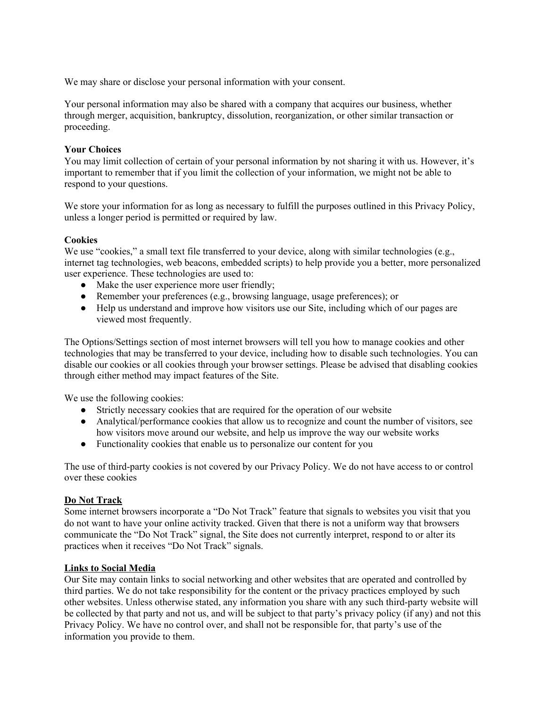We may share or disclose your personal information with your consent.

Your personal information may also be shared with a company that acquires our business, whether through merger, acquisition, bankruptcy, dissolution, reorganization, or other similar transaction or proceeding.

# **Your Choices**

You may limit collection of certain of your personal information by not sharing it with us. However, it's important to remember that if you limit the collection of your information, we might not be able to respond to your questions.

We store your information for as long as necessary to fulfill the purposes outlined in this Privacy Policy, unless a longer period is permitted or required by law.

# **Cookies**

We use "cookies," a small text file transferred to your device, along with similar technologies (e.g., internet tag technologies, web beacons, embedded scripts) to help provide you a better, more personalized user experience. These technologies are used to:

- Make the user experience more user friendly;
- Remember your preferences (e.g., browsing language, usage preferences); or
- Help us understand and improve how visitors use our Site, including which of our pages are viewed most frequently.

The Options/Settings section of most internet browsers will tell you how to manage cookies and other technologies that may be transferred to your device, including how to disable such technologies. You can disable our cookies or all cookies through your browser settings. Please be advised that disabling cookies through either method may impact features of the Site.

We use the following cookies:

- Strictly necessary cookies that are required for the operation of our website
- Analytical/performance cookies that allow us to recognize and count the number of visitors, see how visitors move around our website, and help us improve the way our website works
- Functionality cookies that enable us to personalize our content for you

The use of third-party cookies is not covered by our Privacy Policy. We do not have access to or control over these cookies

# **Do Not Track**

Some internet browsers incorporate a "Do Not Track" feature that signals to websites you visit that you do not want to have your online activity tracked. Given that there is not a uniform way that browsers communicate the "Do Not Track" signal, the Site does not currently interpret, respond to or alter its practices when it receives "Do Not Track" signals.

## **Links to Social Media**

Our Site may contain links to social networking and other websites that are operated and controlled by third parties. We do not take responsibility for the content or the privacy practices employed by such other websites. Unless otherwise stated, any information you share with any such third-party website will be collected by that party and not us, and will be subject to that party's privacy policy (if any) and not this Privacy Policy. We have no control over, and shall not be responsible for, that party's use of the information you provide to them.